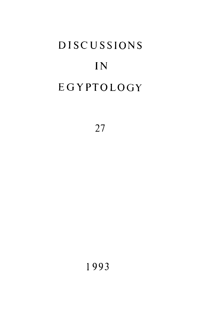# **DISCUSSIONS** IN EGYPTOLOGY

27

1 99 3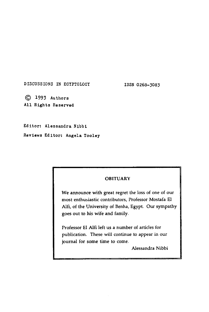DISCUSSIONS IN EGYPTOLOGY 1SSN 0268-3083

**© 1993** Authors All Rights Reserved

Editor: Alessandra Nibbi

Reviews Editor: Angela Tooley

### **OBITUARY**

**We announce with great regret the loss of one of our most enthusiastic contributors, Professor Mostafa El Alfi, of the University of Benha, Egypt. Our sympathy goes out to his wife and family.** 

**Professor El Alfi left us a number of articles for publication. These will continue to appear in our journal for some time to come.** 

**Alessandra Nibbi**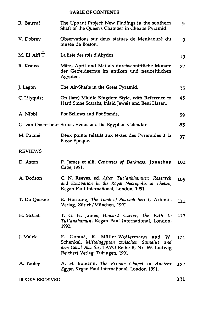#### **TABLE OF CONTENTS**

| R. Bauval                                                  | The Upuaut Project: New Findings in the southern<br>Shaft of the Queen's Chamber in Cheops Pyramid.                                                                             | 5.  |
|------------------------------------------------------------|---------------------------------------------------------------------------------------------------------------------------------------------------------------------------------|-----|
| V. Dobrev                                                  | Observations sur deux statues de Menkaourê du<br>musée de Boston.                                                                                                               | 9   |
| M. El Alfi <sup>+</sup>                                    | La liste des rois d'Abydos.                                                                                                                                                     | 19  |
| R. Krauss                                                  | März, April und Mai als durchschnittliche Monate<br>der Getreideernte im antiken und neuzeitlichen<br>Ägypten.                                                                  | 27  |
| J. Legon                                                   | The Air-Shafts in the Great Pyramid.                                                                                                                                            | 35  |
| C. Lilyquist                                               | On (late) Middle Kingdom Style, with Reference to<br>Hard Stone Scarabs, Inlaid Jewels and Beni Hasan.                                                                          | 45  |
| A. Nibbi                                                   | Pot Bellows and Pot Stands.                                                                                                                                                     | 59  |
| G. van Oosterhout Sirius, Venus and the Egyptian Calendar. |                                                                                                                                                                                 | 83  |
| M. Patané                                                  | Deux points relatifs aux textes des Pyramides à la<br>Basse Epoque.                                                                                                             | 97  |
| <b>REVIEWS</b>                                             |                                                                                                                                                                                 |     |
| D. Aston                                                   | P. James et alii, Centuries of Darkness, Jonathan<br>Cape, 1991.                                                                                                                | 101 |
| A. Dodson                                                  | C. N. Reeves, ed. After Tut'ankhamun: Research<br>and Excavation in the Royal Necropolis at Thebes,<br>Kegan Paul International, London, 1991.                                  | 105 |
| T. Du Quesne                                               | E. Hornung, The Tomb of Pharaoh Seti I, Artemis<br>Verlag, Zürich/München, 1991.                                                                                                | 111 |
| H. McCall                                                  | T. G. H. James, Howard Carter, the Path to<br>Tut'ankhamun, Kegan Paul International, London,<br>1992.                                                                          | 117 |
| J. Malek                                                   | F. Gomaà, R. Müller-Wollermann<br>and W.<br>Schenkel, Mittelägypten zwischen Samalut und<br>dem Gabal Abu Sir, TAVO Reihe B, Nr. 69, Ludwig<br>Reichert Verlag, Tübingen, 1991. | 121 |
| A. Tooley                                                  | A. H. Bomann, The Private Chapel in Ancient<br>Egypt, Kegan Paul International, London 1991.                                                                                    | 127 |
| <b>BOOKS RECEIVED</b>                                      |                                                                                                                                                                                 | 131 |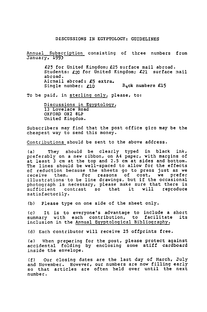#### DISCUSSIONS IN EGYPTOLOGY: GUIDELINES

Annual Subscription consisting of three numbers from January, **1993** 

> **£23** for United Kingdom; **£25** surface mail abroad. Students: **£20** for-United Kingdom; **£21** surface mail abroad. Airmail abroad: **£5** extra. Single number:  $f10$  B<sub>3</sub>ck numbers £15

To be paid, in sterling only, please, to:

Discussions in Egyptology, 13 Lovelace Road OXFORD 0X2 8LP United Kingdom.

Subscribers may find that the post office giro may be the cheapest way to send this money.

Contributions should be sent to the above address.

(a) They should be clearly typed in black ink, preferably on a new ribbon, on A4 paper, with margins of at least 3 cm at the top and 2.5 cm at sides and bottom. The lines should be well-spaced to allow for the effects of reduction because the sheets go to press just as we receive them. For reasons of cost, we prefer illustrations•to be line drawings, but if the occasional photograph is necessary, please make sure that there is  $sufficient$  contrast so that it satisfactorily.

(b) Please type on one side of the sheet only.

(c) It is to everyone's advantage to include a short<br>summary with each contribution, to facilitate its summary with each contribution, to facilitate inclusion in the Annual Egyptological Bibliography.

(d) Each contributor will receive 25 offprints free.

(e) When preparing for the post, please protect against accidental folding by enclosing some stiff cardboard inside the envelope.

(f) Our closing dates are the last day of March, July and November. However, our numbers are now filling early so that articles are often held over until the next number.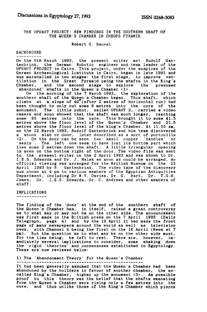THE UPUAUT PROJECT: NEW FINDINGS IN THE SOUTHERN SHAFT OF THE QUEEN'S CHAMBER IN CHEOPS PYRAMID

Robert G. Bauval

## BACKGROUND

On the 6th March 1993, the present writer met Rudolf Gan-<br>tenbrink, the German Robotic engineer and team leader of the<br>UPUAUT PROJECT in Cairo. This project, under the auspices of the<br>German Archaeological Lustitute in Cai Chamber, and the second stage to explore the presumed 'abandoned' shafts in the Queen's Chamber <1>.

On the morning of the 7 March 1993, the exploration of the southern shaft of the Quegn's Chamber began. This shaft, which climbs at a slope of 40 (after 2 metres of horizontal run) had been thought to only cut some 8 metres into the core of the monument. The little robot, called UPUAUT 2, carried a video camera and soon showed that the shaft was much longer, reaching some 65 metres into the core. This br a stone slab or door, later described as a sort of portcullis  $(2)$ . On the door can be seen two small copper 'handles' or 'seals'. The left one seem to have lost its bottom part which lies some 2 metres down the shaft. A to the present writer on the 2 April 1993 and was shown to Dr. I.E.S. Edwards and Dr. J. Malek as soon as could be arranged. An official viewing was arranged for the British Museum on the 22 April 1993 by R. Gantenbrink. The video tape of the discovery was shown at 4 pm to various members of the Egyptian Antiquities Department, including Dr W.V. Davies, Dr. G. Hart, Dr. T.G.H. James, Dr. I.E.S. Edwards, Dr. C. Andrews and other members of staff.

IMPLICATIONS

The finding of the 'door' at the end of the southern shaft of the Queen's Chamber has, in itself, raised a great controversy as to what may or may not be on the other side. The announcement was first made in the British press on the 7 April 1993 (Daily Telegraph, page 4) and by the 19 April it had made the front page of many newspapers around the world as well as television news, with Channel 4 being the first on the 16 April (News at 7 pm). But the question as to what may be on the other side must. But the question as to what may be on the other side must, for the time being, be left to rest. There are, however, inmediately several implications to consider, some shaking down the rigid 'theories' and consensuses established in Egyptology. These are now reviewed below:

1) The 'Abandonment Theory' for the Queen's Chamber

It had been generally assumed that the Queen's Chamber had been abandoned by the builders in favour of another chamber, the socalled King's Chamber, higher up the monument <3>. As possible proof to this theory was the belief that the shafts emanating from the Queen's Chamber were rising only a few metres into the core, and thus unlike those of the King's Chamber which pierce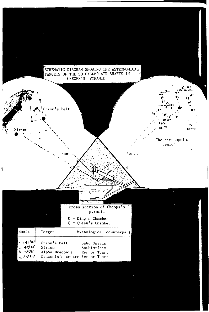